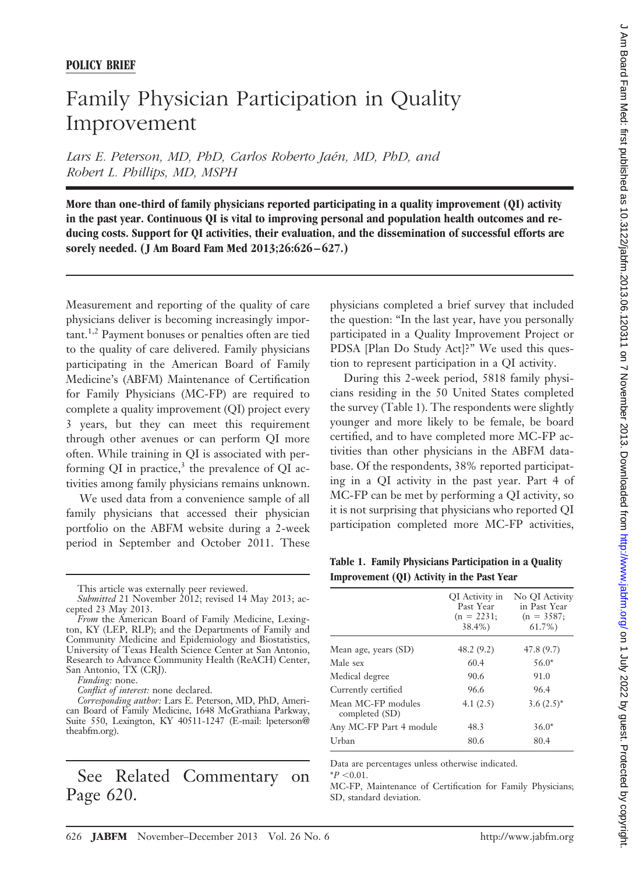## **POLICY BRIEF**

## Family Physician Participation in Quality Improvement

Lars E. Peterson, MD, PhD, Carlos Roberto Jaén, MD, PhD, and *Robert L. Phillips, MD, MSPH*

**More than one-third of family physicians reported participating in a quality improvement (QI) activity in the past year. Continuous QI is vital to improving personal and population health outcomes and reducing costs. Support for QI activities, their evaluation, and the dissemination of successful efforts are sorely needed. ( J Am Board Fam Med 2013;26:626 – 627.)**

Measurement and reporting of the quality of care physicians deliver is becoming increasingly important.<sup>1,2</sup> Payment bonuses or penalties often are tied to the quality of care delivered. Family physicians participating in the American Board of Family Medicine's (ABFM) Maintenance of Certification for Family Physicians (MC-FP) are required to complete a quality improvement (QI) project every 3 years, but they can meet this requirement through other avenues or can perform QI more often. While training in QI is associated with performing QI in practice, $3$  the prevalence of QI activities among family physicians remains unknown.

We used data from a convenience sample of all family physicians that accessed their physician portfolio on the ABFM website during a 2-week period in September and October 2011. These

See Related Commentary on Page 620.

physicians completed a brief survey that included the question: "In the last year, have you personally participated in a Quality Improvement Project or PDSA [Plan Do Study Act]?" We used this question to represent participation in a QI activity.

During this 2-week period, 5818 family physicians residing in the 50 United States completed the survey (Table 1). The respondents were slightly younger and more likely to be female, be board certified, and to have completed more MC-FP activities than other physicians in the ABFM database. Of the respondents, 38% reported participating in a QI activity in the past year. Part 4 of MC-FP can be met by performing a QI activity, so it is not surprising that physicians who reported QI participation completed more MC-FP activities,

**Table 1. Family Physicians Participation in a Quality Improvement (QI) Activity in the Past Year**

| QI Activity in<br>Past Year<br>$(n = 2231;$<br>38.4%) | No QI Activity<br>in Past Year<br>$(n = 3587)$<br>$61.7\%$ |
|-------------------------------------------------------|------------------------------------------------------------|
| 48.2(9.2)                                             | 47.8(9.7)                                                  |
| 60.4                                                  | $56.0*$                                                    |
| 90.6                                                  | 91.0                                                       |
| 96.6                                                  | 96.4                                                       |
| 4.1(2.5)                                              | $3.6(2.5)^*$                                               |
| 48.3                                                  | $36.0*$                                                    |
| 80.6                                                  | 80.4                                                       |
|                                                       |                                                            |

Data are percentages unless otherwise indicated.

 $*P < 0.01$ .

MC-FP, Maintenance of Certification for Family Physicians; SD, standard deviation.

This article was externally peer reviewed.

*Submitted* 21 November 2012; revised 14 May 2013; accepted 23 May 2013.

*From* the American Board of Family Medicine, Lexington, KY (LEP, RLP); and the Departments of Family and Community Medicine and Epidemiology and Biostatistics, University of Texas Health Science Center at San Antonio, Research to Advance Community Health (ReACH) Center, San Antonio, TX (CRJ).

*Funding:* none.

*Conflict of interest:* none declared.

*Corresponding author:* Lars E. Peterson, MD, PhD, American Board of Family Medicine, 1648 McGrathiana Parkway, Suite 550, Lexington, KY 40511-1247 [\(E-mail: lpeterson@](mailto:lpeterson@theabfm.org) [theabfm.org\)](mailto:lpeterson@theabfm.org).